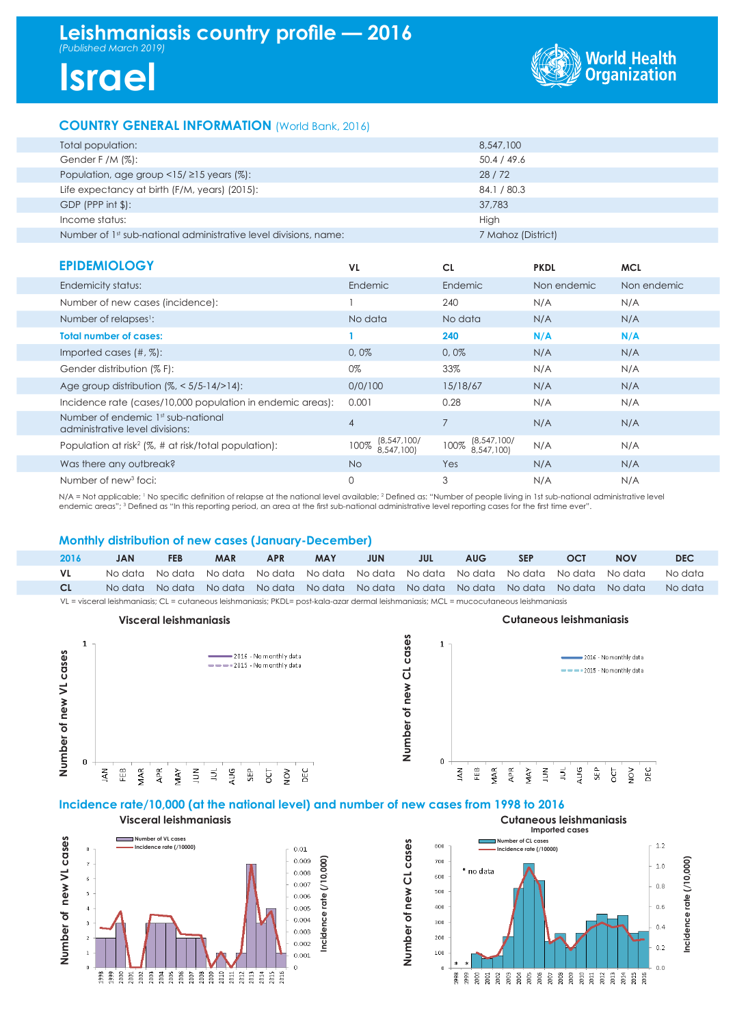## **Leishmaniasis country profile — 2016** *(Published March 2019)*

# **Israel**



### **COUNTRY GENERAL INFORMATION** (World Bank, 2016)

| Total population:                                                | 8,547,100          |
|------------------------------------------------------------------|--------------------|
| Gender F /M $(\%)$ :                                             | 50.4 / 49.6        |
| Population, age group $\langle 15/215 \rangle$ years (%):        | 28/72              |
| Life expectancy at birth (F/M, years) (2015):                    | 84.1 / 80.3        |
| $GDP$ (PPP int $$$ ):                                            | 37,783             |
| Income status:                                                   | High               |
| Number of 1st sub-national administrative level divisions, name: | 7 Mahoz (District) |
|                                                                  |                    |

| <b>EPIDEMIOLOGY</b>                                                   | VL.                                 | <b>CL</b>                         | <b>PKDL</b> | <b>MCL</b>  |
|-----------------------------------------------------------------------|-------------------------------------|-----------------------------------|-------------|-------------|
| Endemicity status:                                                    | Endemic                             | Endemic                           | Non endemic | Non endemic |
| Number of new cases (incidence):                                      |                                     | 240                               | N/A         | N/A         |
| Number of relapses <sup>1</sup> :                                     | No data                             | No data                           | N/A         | N/A         |
| <b>Total number of cases:</b>                                         |                                     | 240                               | N/A         | N/A         |
| Imported cases $(\#,\%)$ :                                            | 0,0%                                | 0,0%                              | N/A         | N/A         |
| Gender distribution (% F):                                            | 0%                                  | 33%                               | N/A         | N/A         |
| Age group distribution $\frac{1}{6}$ < 5/5-14/>14):                   | 0/0/100                             | 15/18/67                          | N/A         | N/A         |
| Incidence rate (cases/10,000 population in endemic areas):            | 0.001                               | 0.28                              | N/A         | N/A         |
| Number of endemic 1st sub-national<br>administrative level divisions: | $\overline{4}$                      | 7                                 | N/A         | N/A         |
| Population at risk <sup>2</sup> ( $\%$ , # at risk/total population): | (8, 547, 100)<br>100%<br>8,547,100) | (8,547,100)<br>100%<br>8.547.100) | N/A         | N/A         |
| Was there any outbreak?                                               | <b>No</b>                           | Yes                               | N/A         | N/A         |
| Number of new <sup>3</sup> foci:                                      | $\mathbf 0$                         | 3                                 | N/A         | N/A         |

N/A = Not applicable; <sup>1</sup> No specific definition of relapse at the national level available; <sup>2</sup> Defined as: "Number of people living in 1st sub-national administrative level endemic areas"; 3 Defined as "In this reporting period, an area at the first sub-national administrative level reporting cases for the first time ever".

#### **Monthly distribution of new cases (January-December)**

| 2016                                                                                                                                    | <b>JAN</b> | <b>FEB</b> | <b>MAR</b> | <b>APR</b> | MAY | <b>JUN</b> | JUL | <b>AUG</b> | <b>SEP</b> | OCT                                                                                     | <b>NOV</b> | <b>DEC</b> |
|-----------------------------------------------------------------------------------------------------------------------------------------|------------|------------|------------|------------|-----|------------|-----|------------|------------|-----------------------------------------------------------------------------------------|------------|------------|
| VL.                                                                                                                                     |            |            |            |            |     |            |     |            |            | No data No data No data No data No data No data No data No data No data No data No data |            | No data    |
| <b>CL</b>                                                                                                                               |            |            |            |            |     |            |     |            |            | No data No data No data No data No data No data No data No data No data No data No data |            | No data    |
| VL = visceral leishmaniasis; CL = cutaneous leishmaniasis; PKDL= post-kala-azar dermal leishmaniasis; MCL = mucocutaneous leishmaniasis |            |            |            |            |     |            |     |            |            |                                                                                         |            |            |

**Number of new CL cases**

Number of new CL cases





#### **Incidence rate/10,000 (at the national level) and number of new cases from 1998 to 2016**